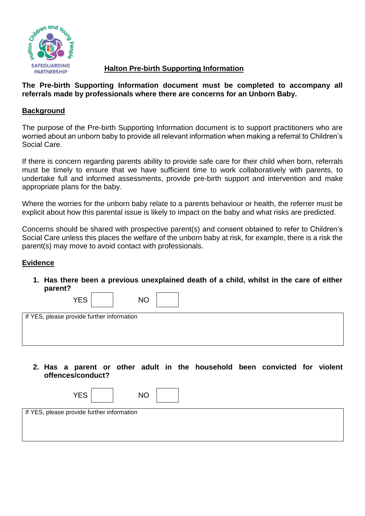

## **Halton Pre-birth Supporting Information**

### **The Pre-birth Supporting Information document must be completed to accompany all referrals made by professionals where there are concerns for an Unborn Baby.**

#### **Background**

The purpose of the Pre-birth Supporting Information document is to support practitioners who are worried about an unborn baby to provide all relevant information when making a referral to Children's Social Care.

If there is concern regarding parents ability to provide safe care for their child when born, referrals must be timely to ensure that we have sufficient time to work collaboratively with parents, to undertake full and informed assessments, provide pre-birth support and intervention and make appropriate plans for the baby.

Where the worries for the unborn baby relate to a parents behaviour or health, the referrer must be explicit about how this parental issue is likely to impact on the baby and what risks are predicted.

Concerns should be shared with prospective parent(s) and consent obtained to refer to Children's Social Care unless this places the welfare of the unborn baby at risk, for example, there is a risk the parent(s) may move to avoid contact with professionals.

#### **Evidence**

**1. Has there been a previous unexplained death of a child, whilst in the care of either parent?** 

| <b>YES</b>                                 | <b>NO</b> |  |  |
|--------------------------------------------|-----------|--|--|
| If YES, please provide further information |           |  |  |
|                                            |           |  |  |
|                                            |           |  |  |
|                                            |           |  |  |
|                                            |           |  |  |
|                                            |           |  |  |

**2. Has a parent or other adult in the household been convicted for violent offences/conduct?** 

| <b>YES</b>                                 | <b>NO</b> |
|--------------------------------------------|-----------|
| If YES, please provide further information |           |
|                                            |           |
|                                            |           |
|                                            |           |
|                                            |           |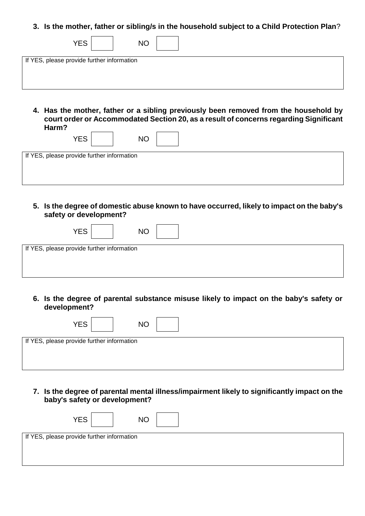#### **3. Is the mother, father or sibling/s in the household subject to a Child Protection Plan**?

| <b>YES</b><br><b>NO</b>                                                              |
|--------------------------------------------------------------------------------------|
| If YES, please provide further information                                           |
|                                                                                      |
|                                                                                      |
|                                                                                      |
|                                                                                      |
|                                                                                      |
| 4. Has the mother, father or a sibling previously been removed from the household by |

**court order or Accommodated Section 20, as a result of concerns regarding Significant Harm?** 

| YES                                        | <b>NO</b> |  |
|--------------------------------------------|-----------|--|
| If YES, please provide further information |           |  |
|                                            |           |  |
|                                            |           |  |
|                                            |           |  |

**5. Is the degree of domestic abuse known to have occurred, likely to impact on the baby's safety or development?**

| <b>YES</b>                                 | <b>NO</b> |  |  |
|--------------------------------------------|-----------|--|--|
| If YES, please provide further information |           |  |  |
|                                            |           |  |  |
|                                            |           |  |  |
|                                            |           |  |  |
|                                            |           |  |  |
|                                            |           |  |  |

**6. Is the degree of parental substance misuse likely to impact on the baby's safety or development?** 

| <b>YES</b><br><b>NO</b>                    |  |  |  |  |
|--------------------------------------------|--|--|--|--|
| If YES, please provide further information |  |  |  |  |
|                                            |  |  |  |  |
|                                            |  |  |  |  |
|                                            |  |  |  |  |

**7. Is the degree of parental mental illness/impairment likely to significantly impact on the baby's safety or development?** 

| <b>YES</b>                                 | <b>NO</b> |
|--------------------------------------------|-----------|
| If YES, please provide further information |           |
|                                            |           |
|                                            |           |
|                                            |           |
|                                            |           |